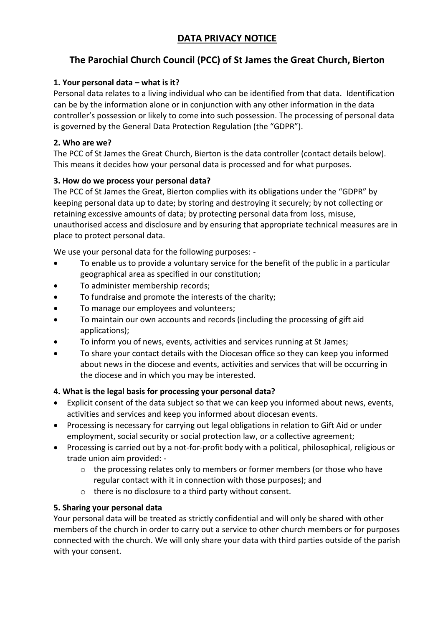# **DATA PRIVACY NOTICE**

# **The Parochial Church Council (PCC) of St James the Great Church, Bierton**

# **1. Your personal data – what is it?**

Personal data relates to a living individual who can be identified from that data. Identification can be by the information alone or in conjunction with any other information in the data controller's possession or likely to come into such possession. The processing of personal data is governed by the General Data Protection Regulation (the "GDPR").

## **2. Who are we?**

The PCC of St James the Great Church, Bierton is the data controller (contact details below). This means it decides how your personal data is processed and for what purposes.

#### **3. How do we process your personal data?**

The PCC of St James the Great, Bierton complies with its obligations under the "GDPR" by keeping personal data up to date; by storing and destroying it securely; by not collecting or retaining excessive amounts of data; by protecting personal data from loss, misuse, unauthorised access and disclosure and by ensuring that appropriate technical measures are in place to protect personal data.

We use your personal data for the following purposes: -

- To enable us to provide a voluntary service for the benefit of the public in a particular geographical area as specified in our constitution;
- To administer membership records;
- To fundraise and promote the interests of the charity;
- To manage our employees and volunteers;
- To maintain our own accounts and records (including the processing of gift aid applications);
- To inform you of news, events, activities and services running at St James;
- To share your contact details with the Diocesan office so they can keep you informed about news in the diocese and events, activities and services that will be occurring in the diocese and in which you may be interested.

#### **4. What is the legal basis for processing your personal data?**

- Explicit consent of the data subject so that we can keep you informed about news, events, activities and services and keep you informed about diocesan events.
- Processing is necessary for carrying out legal obligations in relation to Gift Aid or under employment, social security or social protection law, or a collective agreement;
- Processing is carried out by a not-for-profit body with a political, philosophical, religious or trade union aim provided:
	- o the processing relates only to members or former members (or those who have regular contact with it in connection with those purposes); and
	- o there is no disclosure to a third party without consent.

#### **5. Sharing your personal data**

Your personal data will be treated as strictly confidential and will only be shared with other members of the church in order to carry out a service to other church members or for purposes connected with the church. We will only share your data with third parties outside of the parish with your consent.